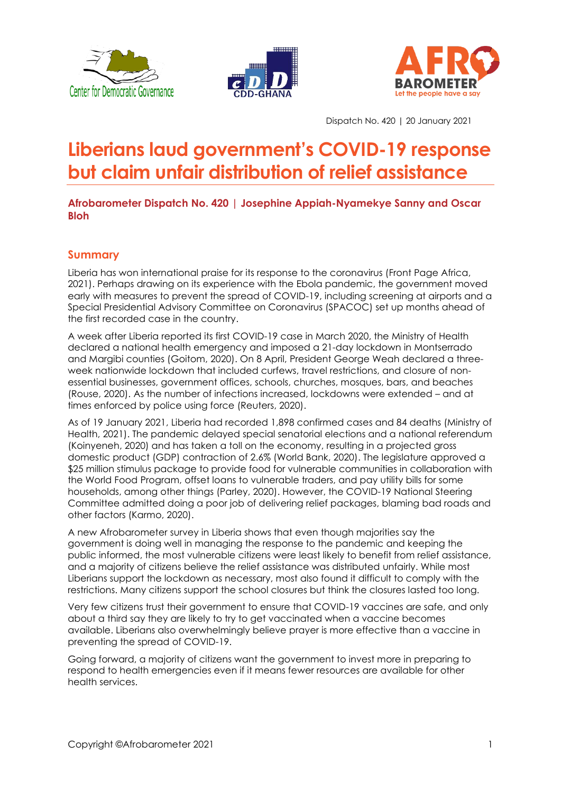





Dispatch No. 420 | 20 January 2021

# **Liberians laud government's COVID-19 response but claim unfair distribution of relief assistance**

**Afrobarometer Dispatch No. 420 | Josephine Appiah-Nyamekye Sanny and Oscar Bloh**

# **Summary**

Liberia has won international praise for its response to the coronavirus (Front Page Africa, 2021). Perhaps drawing on its experience with the Ebola pandemic, the government moved early with measures to prevent the spread of COVID-19, including screening at airports and a Special Presidential Advisory Committee on Coronavirus (SPACOC) set up months ahead of the first recorded case in the country.

A week after Liberia reported its first COVID-19 case in March 2020, the Ministry of Health declared a national health emergency and imposed a 21-day lockdown in Montserrado and Margibi counties (Goitom, 2020). On 8 April, President George Weah declared a threeweek nationwide lockdown that included curfews, travel restrictions, and closure of nonessential businesses, government offices, schools, churches, mosques, bars, and beaches (Rouse, 2020). As the number of infections increased, lockdowns were extended – and at times enforced by police using force (Reuters, 2020).

As of 19 January 2021, Liberia had recorded 1,898 confirmed cases and 84 deaths (Ministry of Health, 2021). The pandemic delayed special senatorial elections and a national referendum (Koinyeneh, 2020) and has taken a toll on the economy, resulting in a projected gross domestic product (GDP) contraction of 2.6% (World Bank, 2020). The legislature approved a \$25 million stimulus package to provide food for vulnerable communities in collaboration with the World Food Program, offset loans to vulnerable traders, and pay utility bills for some households, among other things (Parley, 2020). However, the COVID-19 National Steering Committee admitted doing a poor job of delivering relief packages, blaming bad roads and other factors (Karmo, 2020).

A new Afrobarometer survey in Liberia shows that even though majorities say the government is doing well in managing the response to the pandemic and keeping the public informed, the most vulnerable citizens were least likely to benefit from relief assistance, and a majority of citizens believe the relief assistance was distributed unfairly. While most Liberians support the lockdown as necessary, most also found it difficult to comply with the restrictions. Many citizens support the school closures but think the closures lasted too long.

Very few citizens trust their government to ensure that COVID-19 vaccines are safe, and only about a third say they are likely to try to get vaccinated when a vaccine becomes available. Liberians also overwhelmingly believe prayer is more effective than a vaccine in preventing the spread of COVID-19.

Going forward, a majority of citizens want the government to invest more in preparing to respond to health emergencies even if it means fewer resources are available for other health services.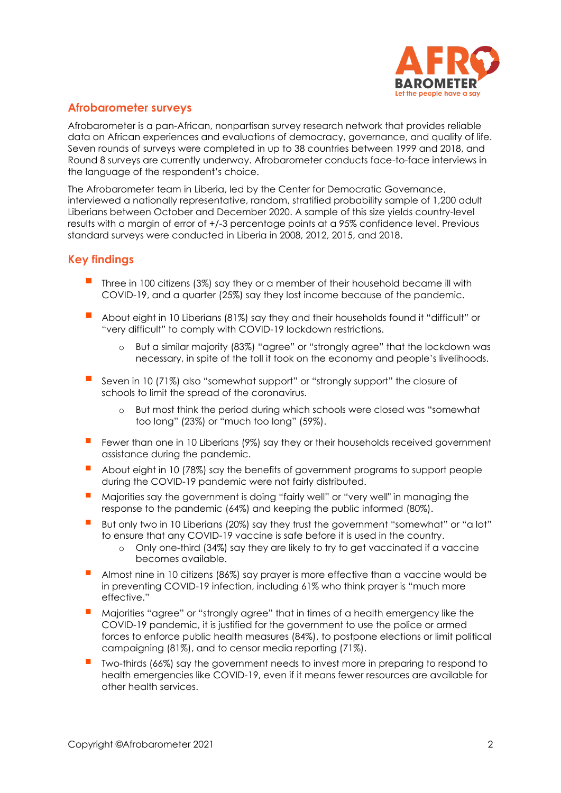

# **Afrobarometer surveys**

Afrobarometer is a pan-African, nonpartisan survey research network that provides reliable data on African experiences and evaluations of democracy, governance, and quality of life. Seven rounds of surveys were completed in up to 38 countries between 1999 and 2018, and Round 8 surveys are currently underway. Afrobarometer conducts face-to-face interviews in the language of the respondent's choice.

The Afrobarometer team in Liberia, led by the Center for Democratic Governance, interviewed a nationally representative, random, stratified probability sample of 1,200 adult Liberians between October and December 2020. A sample of this size yields country-level results with a margin of error of +/-3 percentage points at a 95% confidence level. Previous standard surveys were conducted in Liberia in 2008, 2012, 2015, and 2018.

## **Key findings**

- Three in 100 citizens (3%) say they or a member of their household became ill with COVID-19, and a quarter (25%) say they lost income because of the pandemic.
- About eight in 10 Liberians (81%) say they and their households found it "difficult" or "very difficult" to comply with COVID-19 lockdown restrictions.
	- o But a similar majority (83%) "agree" or "strongly agree" that the lockdown was necessary, in spite of the toll it took on the economy and people's livelihoods.
- Seven in 10 (71%) also "somewhat support" or "strongly support" the closure of schools to limit the spread of the coronavirus.
	- o But most think the period during which schools were closed was "somewhat too long" (23%) or "much too long" (59%).
- Fewer than one in 10 Liberians (9%) say they or their households received government assistance during the pandemic.
- About eight in 10 (78%) say the benefits of government programs to support people during the COVID-19 pandemic were not fairly distributed.
- Majorities say the government is doing "fairly well" or "very well" in managing the response to the pandemic (64%) and keeping the public informed (80%).
- But only two in 10 Liberians (20%) say they trust the government "somewhat" or "a lot" to ensure that any COVID-19 vaccine is safe before it is used in the country.
	- o Only one-third (34%) say they are likely to try to get vaccinated if a vaccine becomes available.
- Almost nine in 10 citizens (86%) say prayer is more effective than a vaccine would be in preventing COVID-19 infection, including 61% who think prayer is "much more effective."
- Majorities "agree" or "strongly agree" that in times of a health emergency like the COVID-19 pandemic, it is justified for the government to use the police or armed forces to enforce public health measures (84%), to postpone elections or limit political campaigning (81%), and to censor media reporting (71%).
- Two-thirds (66%) say the government needs to invest more in preparing to respond to health emergencies like COVID-19, even if it means fewer resources are available for other health services.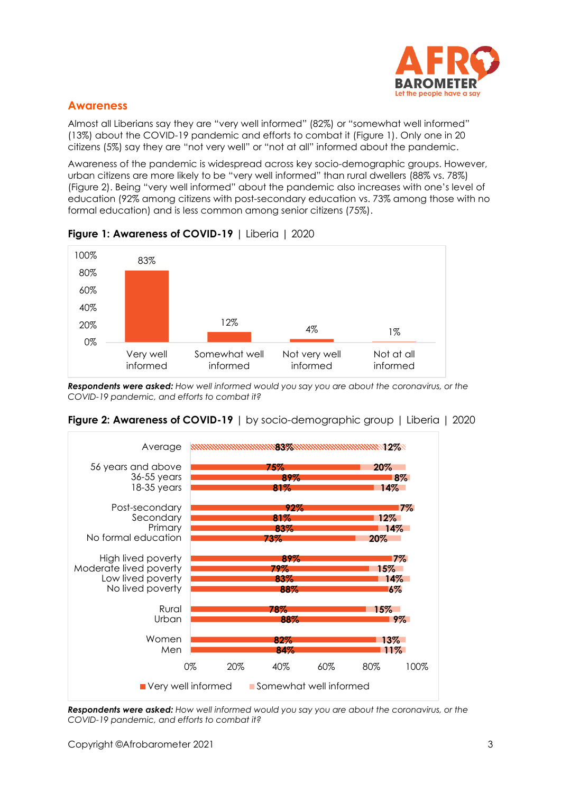

## **Awareness**

Almost all Liberians say they are "very well informed" (82%) or "somewhat well informed" (13%) about the COVID-19 pandemic and efforts to combat it (Figure 1). Only one in 20 citizens (5%) say they are "not very well" or "not at all" informed about the pandemic.

Awareness of the pandemic is widespread across key socio-demographic groups. However, urban citizens are more likely to be "very well informed" than rural dwellers (88% vs. 78%) (Figure 2). Being "very well informed" about the pandemic also increases with one's level of education (92% among citizens with post-secondary education vs. 73% among those with no formal education) and is less common among senior citizens (75%).





*Respondents were asked: How well informed would you say you are about the coronavirus, or the COVID-19 pandemic, and efforts to combat it?*



## **Figure 2: Awareness of COVID-19** | by socio-demographic group | Liberia | 2020

*Respondents were asked: How well informed would you say you are about the coronavirus, or the COVID-19 pandemic, and efforts to combat it?*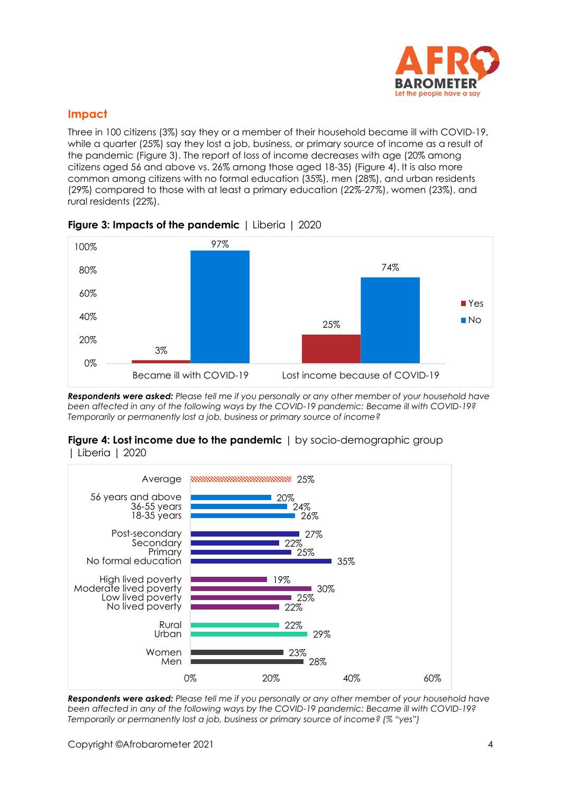

# **Impact**

Three in 100 citizens (3%) say they or a member of their household became ill with COVID-19, while a quarter (25%) say they lost a job, business, or primary source of income as a result of the pandemic (Figure 3). The report of loss of income decreases with age (20% among citizens aged 56 and above vs. 26% among those aged 18-35) (Figure 4). It is also more common among citizens with no formal education (35%), men (28%), and urban residents (29%) compared to those with at least a primary education (22%-27%), women (23%), and rural residents (22%).



## **Figure 3: Impacts of the pandemic** | Liberia | 2020

*Respondents were asked: Please tell me if you personally or any other member of your household have been affected in any of the following ways by the COVID-19 pandemic: Became ill with COVID-19? Temporarily or permanently lost a job, business or primary source of income?*

#### **Figure 4: Lost income due to the pandemic** | by socio-demographic group | Liberia | 2020



*Respondents were asked: Please tell me if you personally or any other member of your household have been affected in any of the following ways by the COVID-19 pandemic: Became ill with COVID-19? Temporarily or permanently lost a job, business or primary source of income? (% "yes")*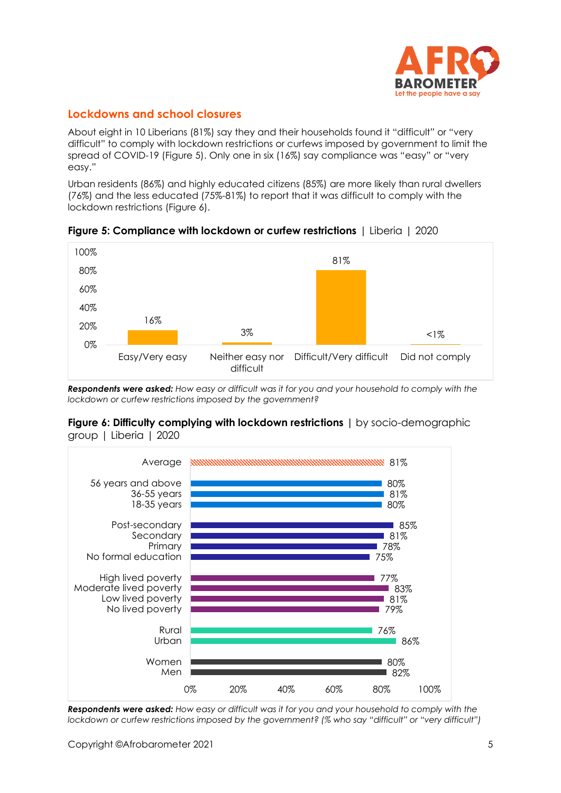

# **Lockdowns and school closures**

About eight in 10 Liberians (81%) say they and their households found it "difficult" or "very difficult" to comply with lockdown restrictions or curfews imposed by government to limit the spread of COVID-19 (Figure 5). Only one in six (16%) say compliance was "easy" or "very easy."

Urban residents (86%) and highly educated citizens (85%) are more likely than rural dwellers (76%) and the less educated (75%-81%) to report that it was difficult to comply with the lockdown restrictions (Figure 6).



**Figure 5: Compliance with lockdown or curfew restrictions** | Liberia | 2020

*Respondents were asked: How easy or difficult was it for you and your household to comply with the lockdown or curfew restrictions imposed by the government?*

#### **Figure 6: Difficulty complying with lockdown restrictions |** by socio-demographic group | Liberia | 2020



*Respondents were asked: How easy or difficult was it for you and your household to comply with the lockdown or curfew restrictions imposed by the government? (% who say "difficult" or "very difficult")*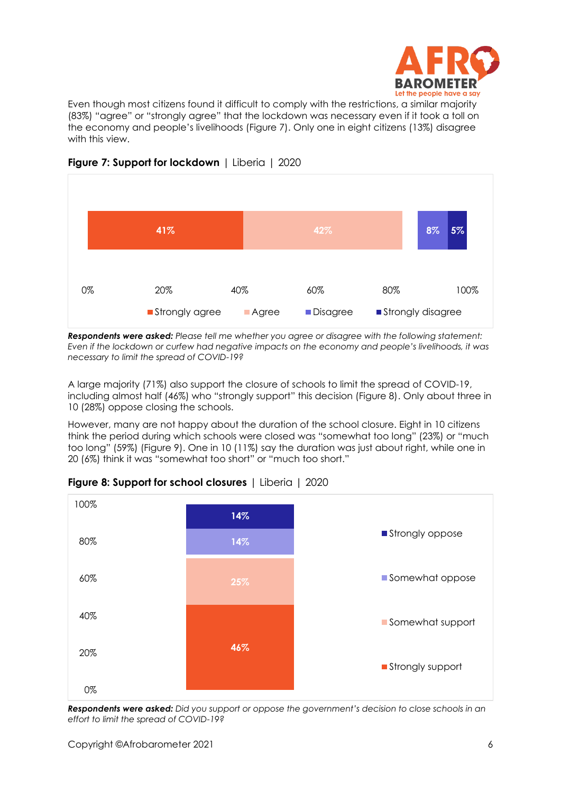

Even though most citizens found it difficult to comply with the restrictions, a similar majority (83%) "agree" or "strongly agree" that the lockdown was necessary even if it took a toll on the economy and people's livelihoods (Figure 7). Only one in eight citizens (13%) disagree with this view.



# **Figure 7: Support for lockdown** | Liberia | 2020

*Respondents were asked: Please tell me whether you agree or disagree with the following statement: Even if the lockdown or curfew had negative impacts on the economy and people's livelihoods, it was necessary to limit the spread of COVID-19?*

A large majority (71%) also support the closure of schools to limit the spread of COVID-19, including almost half (46%) who "strongly support" this decision (Figure 8). Only about three in 10 (28%) oppose closing the schools.

However, many are not happy about the duration of the school closure. Eight in 10 citizens think the period during which schools were closed was "somewhat too long" (23%) or "much too long" (59%) (Figure 9). One in 10 (11%) say the duration was just about right, while one in 20 (6%) think it was "somewhat too short" or "much too short."



## **Figure 8: Support for school closures** | Liberia | 2020

*Respondents were asked: Did you support or oppose the government's decision to close schools in an effort to limit the spread of COVID-19?*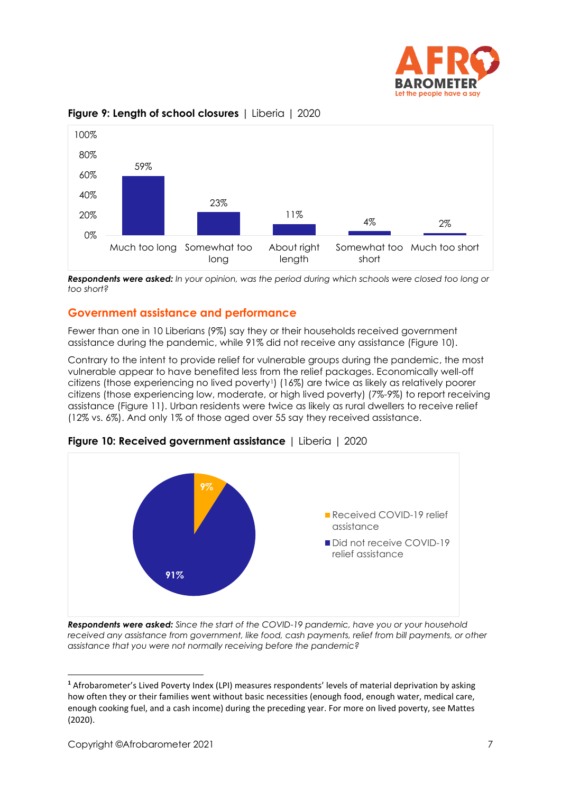



## **Figure 9: Length of school closures** | Liberia | 2020

*Respondents were asked: In your opinion, was the period during which schools were closed too long or too short?*

## **Government assistance and performance**

Fewer than one in 10 Liberians (9%) say they or their households received government assistance during the pandemic, while 91% did not receive any assistance (Figure 10).

Contrary to the intent to provide relief for vulnerable groups during the pandemic, the most vulnerable appear to have benefited less from the relief packages. Economically well-off citizens (those experiencing no lived poverty1) (16%) are twice as likely as relatively poorer citizens (those experiencing low, moderate, or high lived poverty) (7%-9%) to report receiving assistance (Figure 11). Urban residents were twice as likely as rural dwellers to receive relief (12% vs. 6%). And only 1% of those aged over 55 say they received assistance.



**Figure 10: Received government assistance** | Liberia | 2020

*Respondents were asked: Since the start of the COVID-19 pandemic, have you or your household*  received any assistance from government, like food, cash payments, relief from bill payments, or other *assistance that you were not normally receiving before the pandemic?*

**<sup>1</sup>** Afrobarometer's Lived Poverty Index (LPI) measures respondents' levels of material deprivation by asking how often they or their families went without basic necessities (enough food, enough water, medical care, enough cooking fuel, and a cash income) during the preceding year. For more on lived poverty, see Mattes (2020).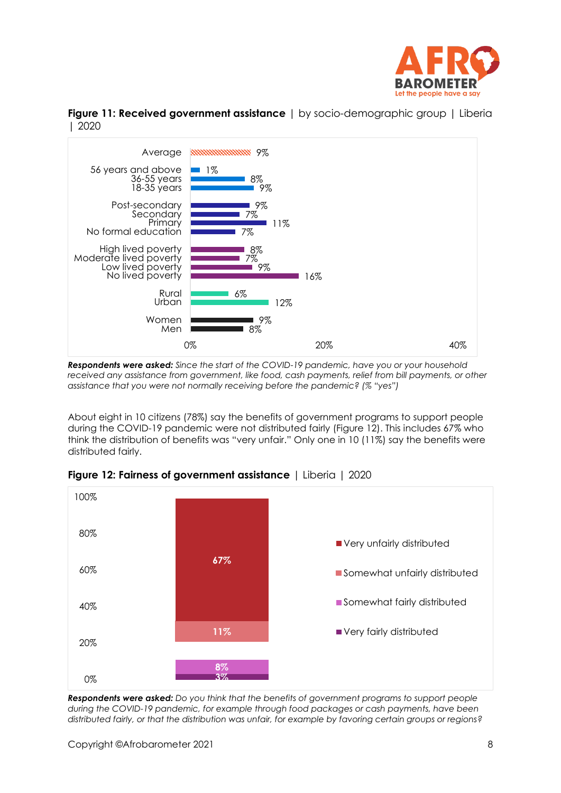





*Respondents were asked: Since the start of the COVID-19 pandemic, have you or your household*  received any assistance from government, like food, cash payments, relief from bill payments, or other *assistance that you were not normally receiving before the pandemic? (% "yes")*

About eight in 10 citizens (78%) say the benefits of government programs to support people during the COVID-19 pandemic were not distributed fairly (Figure 12). This includes 67% who think the distribution of benefits was "very unfair." Only one in 10 (11%) say the benefits were distributed fairly.



**Figure 12: Fairness of government assistance** | Liberia | 2020

*Respondents were asked: Do you think that the benefits of government programs to support people during the COVID-19 pandemic, for example through food packages or cash payments, have been distributed fairly, or that the distribution was unfair, for example by favoring certain groups or regions?*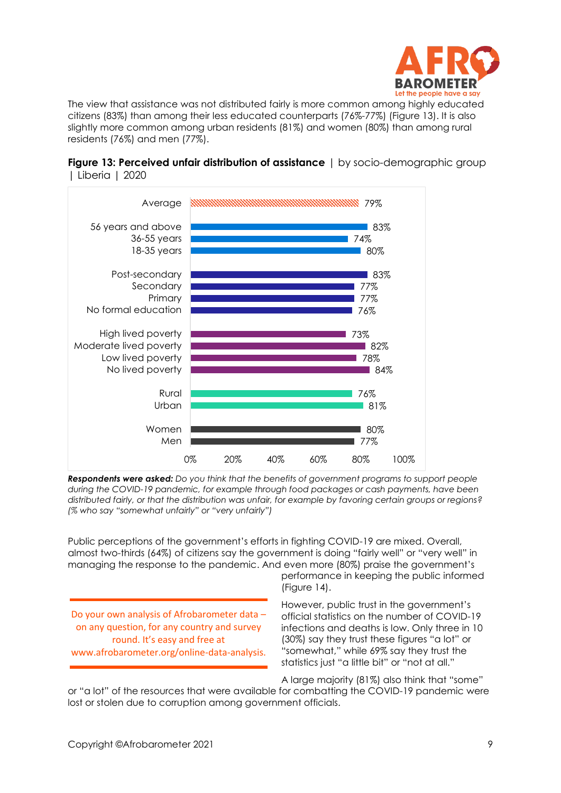

The view that assistance was not distributed fairly is more common among highly educated citizens (83%) than among their less educated counterparts (76%-77%) (Figure 13). It is also slightly more common among urban residents (81%) and women (80%) than among rural residents (76%) and men (77%).





*Respondents were asked: Do you think that the benefits of government programs to support people during the COVID-19 pandemic, for example through food packages or cash payments, have been distributed fairly, or that the distribution was unfair, for example by favoring certain groups or regions? (% who say "somewhat unfairly" or "very unfairly")*

Public perceptions of the government's efforts in fighting COVID-19 are mixed. Overall, almost two-thirds (64%) of citizens say the government is doing "fairly well" or "very well" in managing the response to the pandemic. And even more (80%) praise the government's

performance in keeping the public informed (Figure 14).

Do your own analysis of Afrobarometer data – on any question, for any country and survey round. It's easy and free at www.afrobarometer.org/online-data-analysis.

However, public trust in the government's official statistics on the number of COVID-19 infections and deaths is low. Only three in 10 (30%) say they trust these figures "a lot" or "somewhat," while 69% say they trust the statistics just "a little bit" or "not at all."

A large majority (81%) also think that "some"

or "a lot" of the resources that were available for combatting the COVID-19 pandemic were lost or stolen due to corruption among government officials.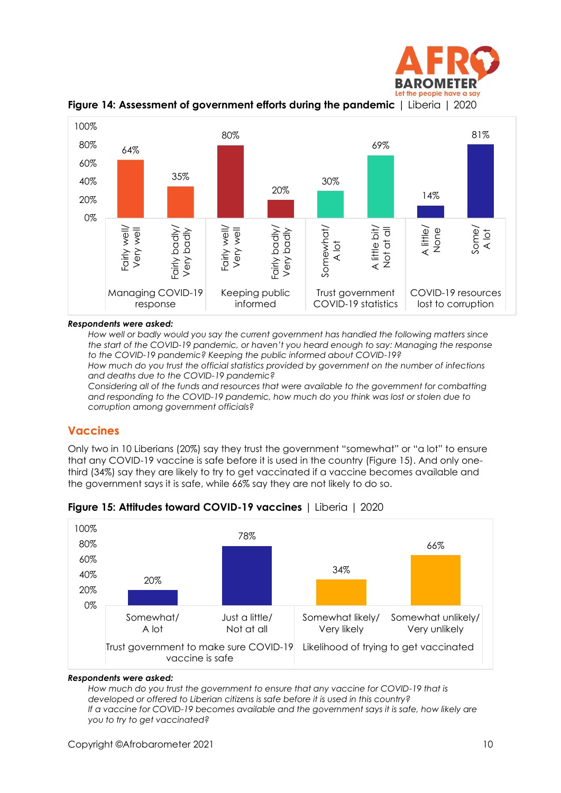





#### *Respondents were asked:*

*How well or badly would you say the current government has handled the following matters since the start of the COVID-19 pandemic, or haven't you heard enough to say: Managing the response to the COVID-19 pandemic? Keeping the public informed about COVID-19?*

*How much do you trust the official statistics provided by government on the number of infections and deaths due to the COVID-19 pandemic?*

*Considering all of the funds and resources that were available to the government for combatting and responding to the COVID-19 pandemic, how much do you think was lost or stolen due to corruption among government officials?*

## **Vaccines**

Only two in 10 Liberians (20%) say they trust the government "somewhat" or "a lot" to ensure that any COVID-19 vaccine is safe before it is used in the country (Figure 15). And only onethird (34%) say they are likely to try to get vaccinated if a vaccine becomes available and the government says it is safe, while 66% say they are not likely to do so.



## **Figure 15: Attitudes toward COVID-19 vaccines** | Liberia | 2020

## *Respondents were asked:*

*How much do you trust the government to ensure that any vaccine for COVID-19 that is developed or offered to Liberian citizens is safe before it is used in this country? If a vaccine for COVID-19 becomes available and the government says it is safe, how likely are you to try to get vaccinated?*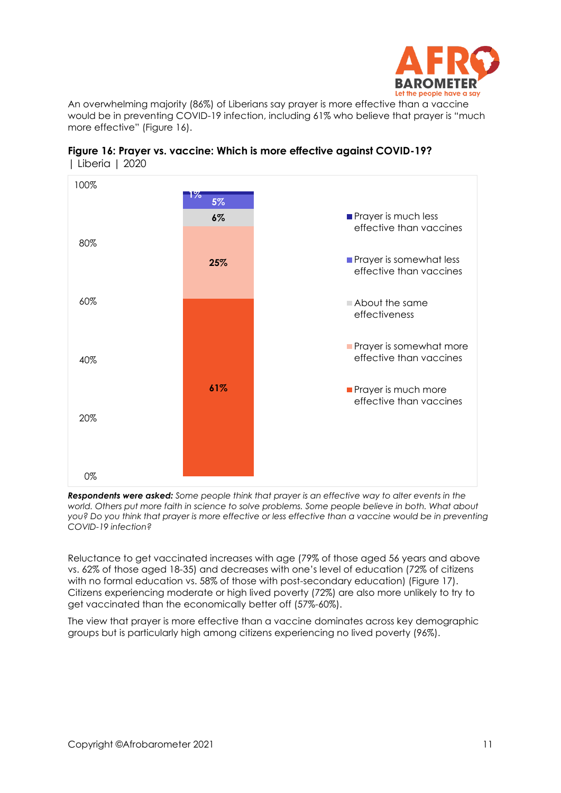

An overwhelming majority (86%) of Liberians say prayer is more effective than a vaccine would be in preventing COVID-19 infection, including 61% who believe that prayer is "much more effective" (Figure 16).





*Respondents were asked: Some people think that prayer is an effective way to alter events in the world. Others put more faith in science to solve problems. Some people believe in both. What about you? Do you think that prayer is more effective or less effective than a vaccine would be in preventing COVID-19 infection?*

Reluctance to get vaccinated increases with age (79% of those aged 56 years and above vs. 62% of those aged 18-35) and decreases with one's level of education (72% of citizens with no formal education vs. 58% of those with post-secondary education) (Figure 17). Citizens experiencing moderate or high lived poverty (72%) are also more unlikely to try to get vaccinated than the economically better off (57%-60%).

The view that prayer is more effective than a vaccine dominates across key demographic groups but is particularly high among citizens experiencing no lived poverty (96%).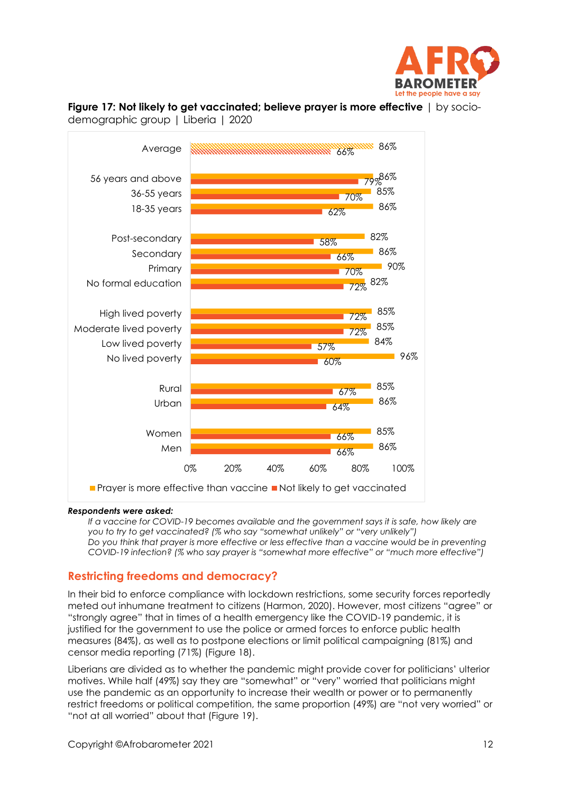



# **Figure 17: Not likely to get vaccinated; believe prayer is more effective** | by socio-

#### *Respondents were asked:*

*If a vaccine for COVID-19 becomes available and the government says it is safe, how likely are you to try to get vaccinated? (% who say "somewhat unlikely" or "very unlikely") Do you think that prayer is more effective or less effective than a vaccine would be in preventing COVID-19 infection? (% who say prayer is "somewhat more effective" or "much more effective")*

## **Restricting freedoms and democracy?**

In their bid to enforce compliance with lockdown restrictions, some security forces reportedly meted out inhumane treatment to citizens (Harmon, 2020). However, most citizens "agree" or "strongly agree" that in times of a health emergency like the COVID-19 pandemic, it is justified for the government to use the police or armed forces to enforce public health measures (84%), as well as to postpone elections or limit political campaigning (81%) and censor media reporting (71%) (Figure 18).

Liberians are divided as to whether the pandemic might provide cover for politicians' ulterior motives. While half (49%) say they are "somewhat" or "very" worried that politicians might use the pandemic as an opportunity to increase their wealth or power or to permanently restrict freedoms or political competition, the same proportion (49%) are "not very worried" or "not at all worried" about that (Figure 19).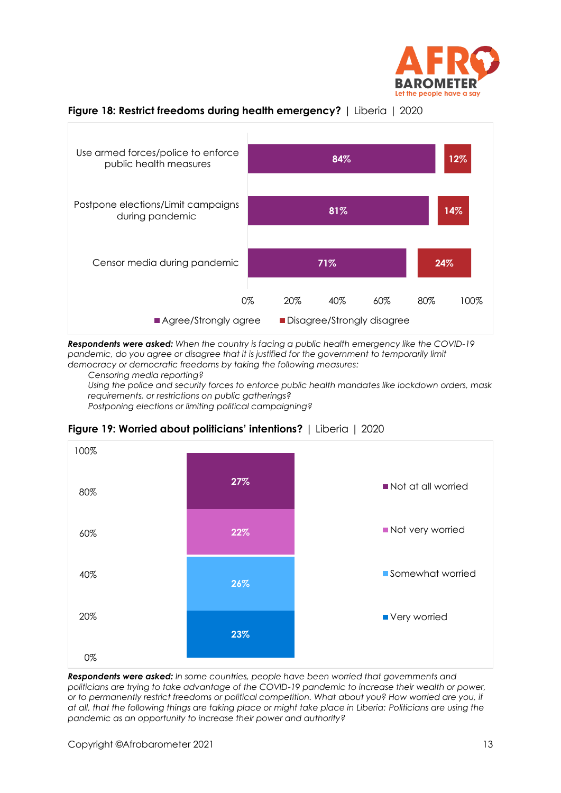



#### **Figure 18: Restrict freedoms during health emergency?** | Liberia | 2020

*Respondents were asked: When the country is facing a public health emergency like the COVID-19*  pandemic, do you agree or disagree that it is justified for the government to temporarily limit *democracy or democratic freedoms by taking the following measures:*

*Censoring media reporting?*

*Using the police and security forces to enforce public health mandates like lockdown orders, mask requirements, or restrictions on public gatherings?*

*Postponing elections or limiting political campaigning?*



## **Figure 19: Worried about politicians' intentions?** | Liberia | 2020

*Respondents were asked: In some countries, people have been worried that governments and politicians are trying to take advantage of the COVID-19 pandemic to increase their wealth or power, or to permanently restrict freedoms or political competition. What about you? How worried are you, if at all, that the following things are taking place or might take place in Liberia: Politicians are using the pandemic as an opportunity to increase their power and authority?*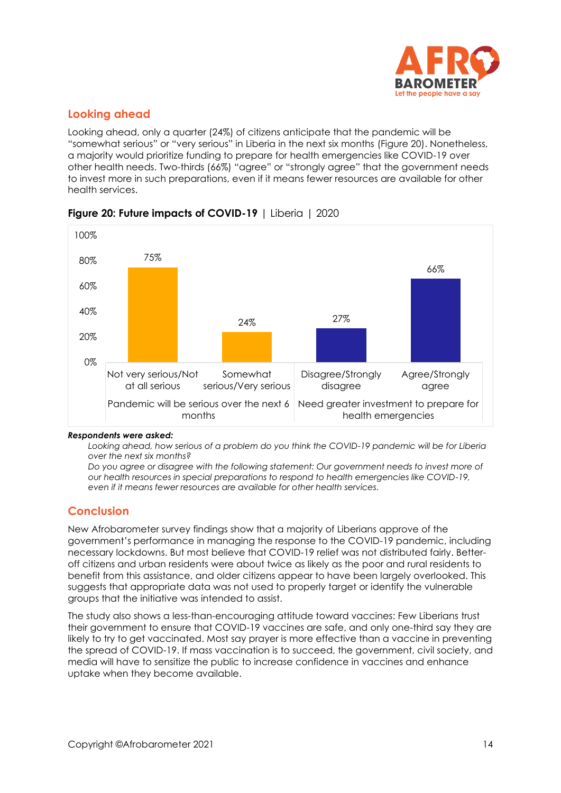

# **Looking ahead**

Looking ahead, only a quarter (24%) of citizens anticipate that the pandemic will be "somewhat serious" or "very serious" in Liberia in the next six months (Figure 20). Nonetheless, a majority would prioritize funding to prepare for health emergencies like COVID-19 over other health needs. Two-thirds (66%) "agree" or "strongly agree" that the government needs to invest more in such preparations, even if it means fewer resources are available for other health services.



## **Figure 20: Future impacts of COVID-19** | Liberia | 2020

#### *Respondents were asked:*

*Looking ahead, how serious of a problem do you think the COVID-19 pandemic will be for Liberia over the next six months?*

*Do you agree or disagree with the following statement: Our government needs to invest more of our health resources in special preparations to respond to health emergencies like COVID-19, even if it means fewer resources are available for other health services.*

# **Conclusion**

New Afrobarometer survey findings show that a majority of Liberians approve of the government's performance in managing the response to the COVID-19 pandemic, including necessary lockdowns. But most believe that COVID-19 relief was not distributed fairly. Betteroff citizens and urban residents were about twice as likely as the poor and rural residents to benefit from this assistance, and older citizens appear to have been largely overlooked. This suggests that appropriate data was not used to properly target or identify the vulnerable groups that the initiative was intended to assist.

The study also shows a less-than-encouraging attitude toward vaccines: Few Liberians trust their government to ensure that COVID-19 vaccines are safe, and only one-third say they are likely to try to get vaccinated. Most say prayer is more effective than a vaccine in preventing the spread of COVID-19. If mass vaccination is to succeed, the government, civil society, and media will have to sensitize the public to increase confidence in vaccines and enhance uptake when they become available.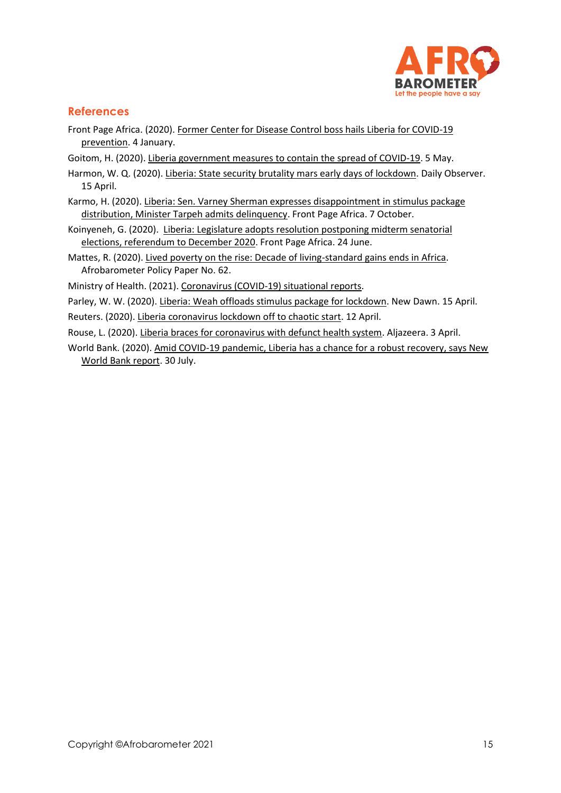

# **References**

- Front Page Africa. (2020). [Former Center for Disease Control boss hails Liberia for COVID-19](https://frontpageafricaonline.com/news/former-center-for-disease-control-boss-hails-liberia-for-covid-19-prevention/)  [prevention.](https://frontpageafricaonline.com/news/former-center-for-disease-control-boss-hails-liberia-for-covid-19-prevention/) 4 January.
- Goitom, H. (2020). [Liberia government measures to contain the spread of COVID-19.](https://blogs.loc.gov/law/2020/05/liberia-government-measures-to-contain-the-spread-of-covid-19/) 5 May.
- Harmon, W. Q. (2020)[. Liberia: State security brutality mars early days of lockdown.](https://allafrica.com/stories/202004150490.html) Daily Observer. 15 April.
- Karmo, H. (2020). [Liberia: Sen. Varney Sherman expresses disappointment in stimulus package](https://frontpageafricaonline.com/news/liberia-sen-varney-sherman-expresses-disappointment-in-stimulus-package-distribution-minister-tarpeh-admits-delinquency/)  [distribution, Minister Tarpeh admits delinquency.](https://frontpageafricaonline.com/news/liberia-sen-varney-sherman-expresses-disappointment-in-stimulus-package-distribution-minister-tarpeh-admits-delinquency/) Front Page Africa. 7 October.
- Koinyeneh, G. (2020). [Liberia: Legislature adopts resolution postponing midterm senatorial](https://frontpageafricaonline.com/news/liberia-legislature-adopts-resolution-postponing-midterm-senatorial-elections-referendum-to-december-2020/)  [elections, referendum to December 2020.](https://frontpageafricaonline.com/news/liberia-legislature-adopts-resolution-postponing-midterm-senatorial-elections-referendum-to-december-2020/) Front Page Africa. 24 June.
- Mattes, R. (2020)[. Lived poverty on the rise: Decade of living-standard gains ends in Africa.](http://afrobarometer.org/publications/pp62-lived-poverty-rise-decade-living-standard-gains-ends-africa) Afrobarometer Policy Paper No. 62.
- Ministry of Health. (2021). [Coronavirus \(COVID-19\) situational reports.](https://moh.gov.lr/documents/reports/covid-19-reports/)
- Parley, W. W. (2020). [Liberia: Weah offloads stimulus package for lockdown.](https://allafrica.com/stories/202004150438.html) New Dawn. 15 April.
- Reuters. (2020). [Liberia coronavirus lockdown off to chaotic start.](https://www.reuters.com/article/us-health-coronavirus-liberia/liberia-coronavirus-lockdown-off-to-chaotic-start-idUSKCN21U0QU) 12 April.
- Rouse, L. (2020)[. Liberia braces for coronavirus with defunct health system.](https://www.aljazeera.com/news/2020/4/3/liberia-braces-for-coronavirus-with-defunct-health-system) Aljazeera. 3 April.
- World Bank. (2020)[. Amid COVID-19 pandemic, Liberia has a chance for a robust recovery, says New](https://www.worldbank.org/en/news/press-release/2020/07/30/amid-covid-19-pandemic-liberia-has-a-chance-for-a-robust-recovery-says-new-world-bank-report)  [World Bank report.](https://www.worldbank.org/en/news/press-release/2020/07/30/amid-covid-19-pandemic-liberia-has-a-chance-for-a-robust-recovery-says-new-world-bank-report) 30 July.